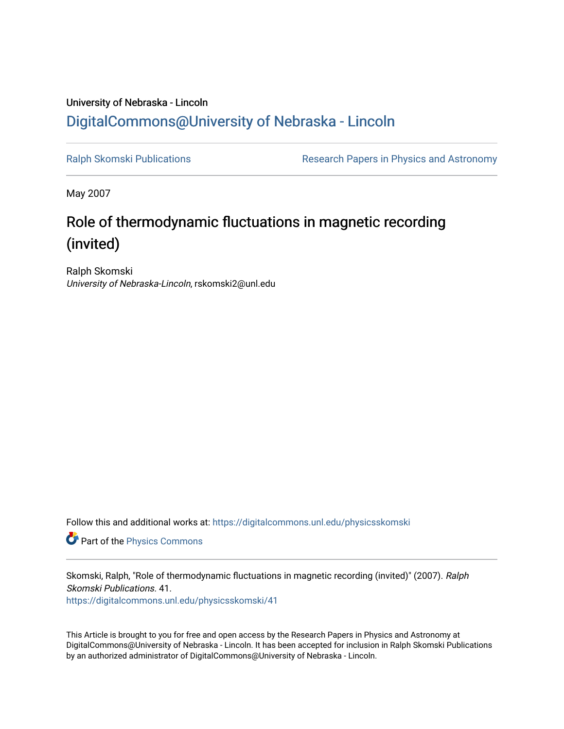## University of Nebraska - Lincoln [DigitalCommons@University of Nebraska - Lincoln](https://digitalcommons.unl.edu/)

[Ralph Skomski Publications](https://digitalcommons.unl.edu/physicsskomski) **Research Papers in Physics and Astronomy** 

May 2007

# Role of thermodynamic fluctuations in magnetic recording (invited)

Ralph Skomski University of Nebraska-Lincoln, rskomski2@unl.edu

Follow this and additional works at: [https://digitalcommons.unl.edu/physicsskomski](https://digitalcommons.unl.edu/physicsskomski?utm_source=digitalcommons.unl.edu%2Fphysicsskomski%2F41&utm_medium=PDF&utm_campaign=PDFCoverPages) 

Part of the [Physics Commons](http://network.bepress.com/hgg/discipline/193?utm_source=digitalcommons.unl.edu%2Fphysicsskomski%2F41&utm_medium=PDF&utm_campaign=PDFCoverPages)

Skomski, Ralph, "Role of thermodynamic fluctuations in magnetic recording (invited)" (2007). Ralph Skomski Publications. 41.

[https://digitalcommons.unl.edu/physicsskomski/41](https://digitalcommons.unl.edu/physicsskomski/41?utm_source=digitalcommons.unl.edu%2Fphysicsskomski%2F41&utm_medium=PDF&utm_campaign=PDFCoverPages)

This Article is brought to you for free and open access by the Research Papers in Physics and Astronomy at DigitalCommons@University of Nebraska - Lincoln. It has been accepted for inclusion in Ralph Skomski Publications by an authorized administrator of DigitalCommons@University of Nebraska - Lincoln.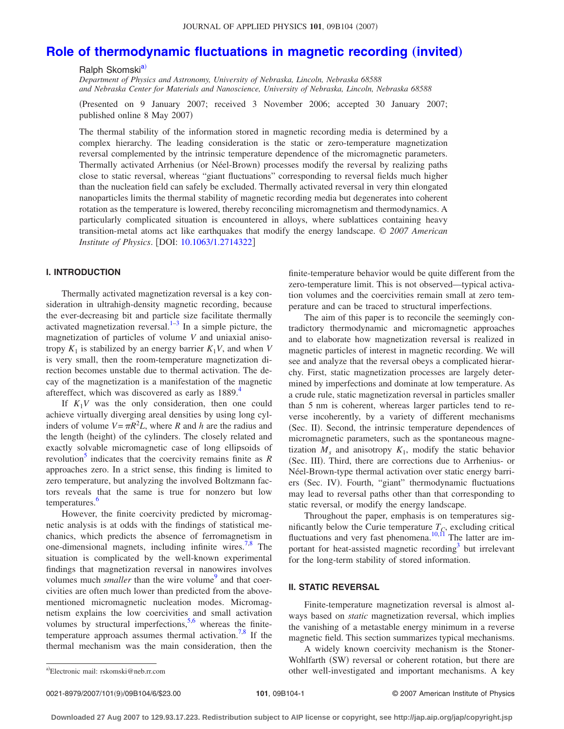### **[Role of thermodynamic fluctuations in magnetic recording](http://dx.doi.org/10.1063/1.2714322) (invited)**

Ralph Skomski<sup>a)</sup>

*Department of Physics and Astronomy, University of Nebraska, Lincoln, Nebraska 68588 and Nebraska Center for Materials and Nanoscience, University of Nebraska, Lincoln, Nebraska 68588*

Presented on 9 January 2007; received 3 November 2006; accepted 30 January 2007; published online 8 May 2007)

The thermal stability of the information stored in magnetic recording media is determined by a complex hierarchy. The leading consideration is the static or zero-temperature magnetization reversal complemented by the intrinsic temperature dependence of the micromagnetic parameters. Thermally activated Arrhenius (or Néel-Brown) processes modify the reversal by realizing paths close to static reversal, whereas "giant fluctuations" corresponding to reversal fields much higher than the nucleation field can safely be excluded. Thermally activated reversal in very thin elongated nanoparticles limits the thermal stability of magnetic recording media but degenerates into coherent rotation as the temperature is lowered, thereby reconciling micromagnetism and thermodynamics. A particularly complicated situation is encountered in alloys, where sublattices containing heavy transition-metal atoms act like earthquakes that modify the energy landscape. © *2007 American Institute of Physics.* [DOI: [10.1063/1.2714322](http://dx.doi.org/10.1063/1.2714322)]

#### **I. INTRODUCTION**

Thermally activated magnetization reversal is a key consideration in ultrahigh-density magnetic recording, because the ever-decreasing bit and particle size facilitate thermally activated magnetization reversal. $1-3$  In a simple picture, the magnetization of particles of volume *V* and uniaxial anisotropy  $K_1$  is stabilized by an energy barrier  $K_1V$ , and when V is very small, then the room-temperature magnetization direction becomes unstable due to thermal activation. The decay of the magnetization is a manifestation of the magnetic aftereffect, which was discovered as early as 1889.<sup>4</sup>

If  $K_1V$  was the only consideration, then one could achieve virtually diverging areal densities by using long cylinders of volume  $V = \pi R^2 L$ , where *R* and *h* are the radius and the length (height) of the cylinders. The closely related and exactly solvable micromagnetic case of long ellipsoids of revolution<sup>5</sup> indicates that the coercivity remains finite as  $$ approaches zero. In a strict sense, this finding is limited to zero temperature, but analyzing the involved Boltzmann factors reveals that the same is true for nonzero but low temperatures.<sup>6</sup>

However, the finite coercivity predicted by micromagnetic analysis is at odds with the findings of statistical mechanics, which predicts the absence of ferromagnetism in one-dimensional magnets, including infinite wires.<sup>7[,8](#page-6-6)</sup> The situation is complicated by the well-known experimental findings that magnetization reversal in nanowires involves volumes much *smaller* than the wire volume<sup>9</sup> and that coercivities are often much lower than predicted from the abovementioned micromagnetic nucleation modes. Micromagnetism explains the low coercivities and small activation volumes by structural imperfections,  $5,6$  $5,6$  whereas the finite-temperature approach assumes thermal activation.<sup>7,[8](#page-6-6)</sup> If the thermal mechanism was the main consideration, then the

finite-temperature behavior would be quite different from the zero-temperature limit. This is not observed—typical activation volumes and the coercivities remain small at zero temperature and can be traced to structural imperfections.

The aim of this paper is to reconcile the seemingly contradictory thermodynamic and micromagnetic approaches and to elaborate how magnetization reversal is realized in magnetic particles of interest in magnetic recording. We will see and analyze that the reversal obeys a complicated hierarchy. First, static magnetization processes are largely determined by imperfections and dominate at low temperature. As a crude rule, static magnetization reversal in particles smaller than 5 nm is coherent, whereas larger particles tend to reverse incoherently, by a variety of different mechanisms (Sec. II). Second, the intrinsic temperature dependences of micromagnetic parameters, such as the spontaneous magnetization  $M_s$  and anisotropy  $K_1$ , modify the static behavior (Sec. III). Third, there are corrections due to Arrhenius- or Néel-Brown-type thermal activation over static energy barriers (Sec. IV). Fourth, "giant" thermodynamic fluctuations may lead to reversal paths other than that corresponding to static reversal, or modify the energy landscape.

Throughout the paper, emphasis is on temperatures significantly below the Curie temperature  $T_C$ , excluding critical fluctuations and very fast phenomena.<sup>10[,11](#page-6-9)</sup> The latter are important for heat-assisted magnetic recording $3$  but irrelevant for the long-term stability of stored information.

#### **II. STATIC REVERSAL**

Finite-temperature magnetization reversal is almost always based on *static* magnetization reversal, which implies the vanishing of a metastable energy minimum in a reverse magnetic field. This section summarizes typical mechanisms.

A widely known coercivity mechanism is the Stoner-Wohlfarth (SW) reversal or coherent rotation, but there are other well-investigated and important mechanisms. A key

<span id="page-1-0"></span>Electronic mail: rskomski@neb.rr.com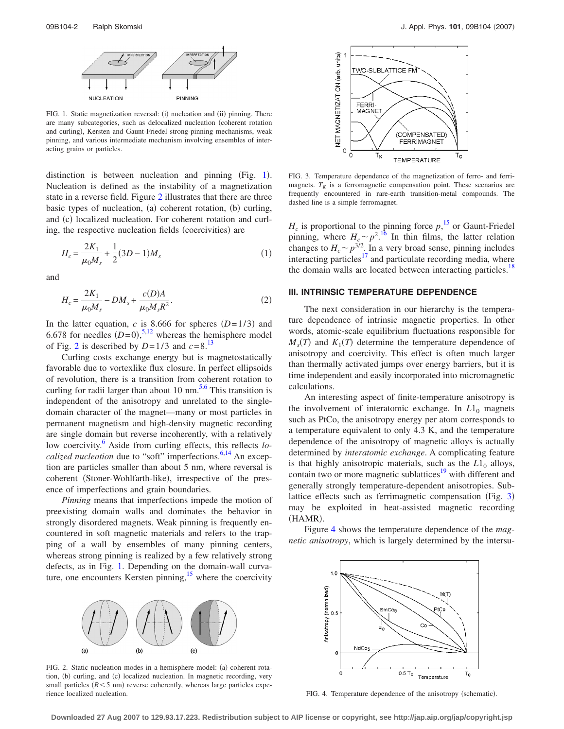<span id="page-2-0"></span>

FIG. 1. Static magnetization reversal: (i) nucleation and (ii) pinning. There are many subcategories, such as delocalized nucleation (coherent rotation and curling), Kersten and Gaunt-Friedel strong-pinning mechanisms, weak pinning, and various intermediate mechanism involving ensembles of interacting grains or particles.

distinction is between nucleation and pinning  $(Fig. 1)$  $(Fig. 1)$  $(Fig. 1)$ . Nucleation is defined as the instability of a magnetization state in a reverse field. Figure [2](#page-2-1) illustrates that there are three basic types of nucleation, (a) coherent rotation, (b) curling, and (c) localized nucleation. For coherent rotation and curling, the respective nucleation fields (coercivities) are

$$
H_c = \frac{2K_1}{\mu_0 M_s} + \frac{1}{2}(3D - 1)M_s
$$
 (1)

and

$$
H_c = \frac{2K_1}{\mu_0 M_s} - DM_s + \frac{c(D)A}{\mu_0 M_s R^2}.
$$
 (2)

In the latter equation, *c* is 8.666 for spheres  $(D=1/3)$  and 6.678 for needles  $(D=0)$ ,<sup>[5](#page-6-3)[,12](#page-6-10)</sup> whereas the hemisphere model of Fig. [2](#page-2-1) is described by  $D=1/3$  and  $c=8$ .<sup>13</sup>

Curling costs exchange energy but is magnetostatically favorable due to vortexlike flux closure. In perfect ellipsoids of revolution, there is a transition from coherent rotation to curling for radii larger than about 10 nm.<sup>5,[6](#page-6-4)</sup> This transition is independent of the anisotropy and unrelated to the singledomain character of the magnet—many or most particles in permanent magnetism and high-density magnetic recording are single domain but reverse incoherently, with a relatively low coercivity.<sup>6</sup> Aside from curling effects, this reflects *localized nucleation* due to "soft" imperfections.<sup>6[,14](#page-6-12)</sup> An exception are particles smaller than about 5 nm, where reversal is coherent (Stoner-Wohlfarth-like), irrespective of the presence of imperfections and grain boundaries.

*Pinning* means that imperfections impede the motion of preexisting domain walls and dominates the behavior in strongly disordered magnets. Weak pinning is frequently encountered in soft magnetic materials and refers to the trapping of a wall by ensembles of many pinning centers, whereas strong pinning is realized by a few relatively strong defects, as in Fig. [1.](#page-2-0) Depending on the domain-wall curvature, one encounters Kersten pinning, $15$  where the coercivity

<span id="page-2-1"></span>

FIG. 2. Static nucleation modes in a hemisphere model: (a) coherent rotation, (b) curling, and (c) localized nucleation. In magnetic recording, very small particles  $(R < 5$  nm) reverse coherently, whereas large particles experience localized nucleation.

<span id="page-2-2"></span>

FIG. 3. Temperature dependence of the magnetization of ferro- and ferrimagnets.  $T_K$  is a ferromagnetic compensation point. These scenarios are frequently encountered in rare-earth transition-metal compounds. The dashed line is a simple ferromagnet.

 $H_c$  is proportional to the pinning force  $p<sup>15</sup>$  $p<sup>15</sup>$  $p<sup>15</sup>$ , or Gaunt-Friedel pinning, where  $H_c \sim p^{2.16}$  $H_c \sim p^{2.16}$  $H_c \sim p^{2.16}$  In thin films, the latter relation changes to  $H_c \sim p^{3/2}$ . In a very broad sense, pinning includes interacting particles<sup>17</sup> and particulate recording media, where the domain walls are located between interacting particles.<sup>18</sup>

#### **III. INTRINSIC TEMPERATURE DEPENDENCE**

The next consideration in our hierarchy is the temperature dependence of intrinsic magnetic properties. In other words, atomic-scale equilibrium fluctuations responsible for  $M_s(T)$  and  $K_1(T)$  determine the temperature dependence of anisotropy and coercivity. This effect is often much larger than thermally activated jumps over energy barriers, but it is time independent and easily incorporated into micromagnetic calculations.

An interesting aspect of finite-temperature anisotropy is the involvement of interatomic exchange. In  $L1_0$  magnets such as PtCo, the anisotropy energy per atom corresponds to a temperature equivalent to only 4.3 K, and the temperature dependence of the anisotropy of magnetic alloys is actually determined by *interatomic exchange*. A complicating feature is that highly anisotropic materials, such as the  $L1_0$  alloys, contain two or more magnetic sublattices<sup>19</sup> with different and generally strongly temperature-dependent anisotropies. Sub-lattice effects such as ferrimagnetic compensation (Fig. [3](#page-2-2)) may be exploited in heat-assisted magnetic recording (HAMR).

<span id="page-2-3"></span>Figure [4](#page-2-3) shows the temperature dependence of the *magnetic anisotropy*, which is largely determined by the intersu-



FIG. 4. Temperature dependence of the anisotropy (schematic).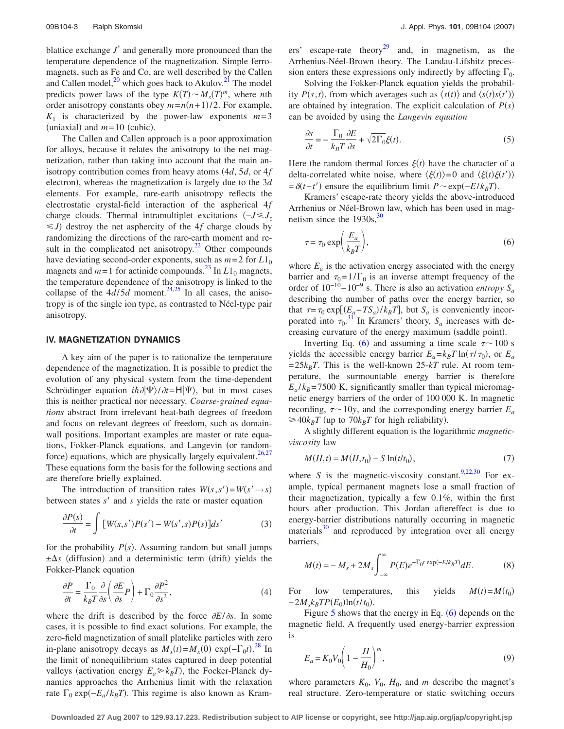blattice exchange  $J^*$  and generally more pronounced than the temperature dependence of the magnetization. Simple ferromagnets, such as Fe and Co, are well described by the Callen and Callen model, $^{20}$  which goes back to Akulov. $^{21}$  The model predicts power laws of the type  $K(T) \sim M_s(T)^m$ , where *n*th order anisotropy constants obey  $m=n(n+1)/2$ . For example,  $K_1$  is characterized by the power-law exponents  $m=3$ (uniaxial) and  $m=10$  (cubic).

The Callen and Callen approach is a poor approximation for alloys, because it relates the anisotropy to the net magnetization, rather than taking into account that the main anisotropy contribution comes from heavy atoms  $(4d, 5d, 6d)$ electron), whereas the magnetization is largely due to the 3*d* elements. For example, rare-earth anisotropy reflects the electrostatic crystal-field interaction of the aspherical 4*f* charge clouds. Thermal intramultiplet excitations  $(-J \leq J_z)$  $\leq J$ ) destroy the net asphercity of the 4*f* charge clouds by randomizing the directions of the rare-earth moment and result in the complicated net anisotropy.<sup>22</sup> Other compounds have deviating second-order exponents, such as  $m=2$  for  $L1_0$ magnets and  $m=1$  for actinide compounds.<sup>23</sup> In  $L1_0$  magnets, the temperature dependence of the anisotropy is linked to the collapse of the  $4d/5d$  moment.<sup>24,[25](#page-6-23)</sup> In all cases, the anisotropy is of the single ion type, as contrasted to Néel-type pair anisotropy.

#### **IV. MAGNETIZATION DYNAMICS**

A key aim of the paper is to rationalize the temperature dependence of the magnetization. It is possible to predict the evolution of any physical system from the time-dependent Schrödinger equation  $i\hbar \partial |\Psi\rangle / \partial t = H |\Psi\rangle$ , but in most cases this is neither practical nor necessary. *Coarse-grained equations* abstract from irrelevant heat-bath degrees of freedom and focus on relevant degrees of freedom, such as domainwall positions. Important examples are master or rate equations, Fokker-Planck equations, and Langevin (or random-force) equations, which are physically largely equivalent.<sup>26,[27](#page-6-25)</sup> These equations form the basis for the following sections and are therefore briefly explained.

The introduction of transition rates  $W(s, s') = W(s' \rightarrow s)$ between states *s'* and *s* yields the rate or master equation

$$
\frac{\partial P(s)}{\partial t} = \int \left[ W(s, s')P(s') - W(s', s)P(s) \right] ds' \tag{3}
$$

for the probability  $P(s)$ . Assuming random but small jumps  $\pm \Delta s$  (diffusion) and a deterministic term (drift) yields the Fokker-Planck equation

$$
\frac{\partial P}{\partial t} = \frac{\Gamma_0}{k_B T} \frac{\partial}{\partial s} \left( \frac{\partial E}{\partial s} P \right) + \Gamma_0 \frac{\partial P^2}{\partial s^2},\tag{4}
$$

where the drift is described by the force  $\partial E/\partial s$ . In some cases, it is possible to find exact solutions. For example, the zero-field magnetization of small platelike particles with zero in-plane anisotropy decays as  $\overline{M_x}(t) = M_x(0) \exp(-\Gamma_0 t).$ <sup>[28](#page-6-26)</sup> In the limit of nonequilibrium states captured in deep potential valleys (activation energy  $E_a \gg k_B T$ ), the Focker-Planck dynamics approaches the Arrhenius limit with the relaxation rate  $\Gamma_0 \exp(-E_a / k_B T)$ . This regime is also known as Kramers' escape-rate theory<sup>29</sup> and, in magnetism, as the Arrhenius-Néel-Brown theory. The Landau-Lifshitz precession enters these expressions only indirectly by affecting  $\Gamma_0$ .

Solving the Fokker-Planck equation yields the probability  $P(s,t)$ , from which averages such as  $\langle s(t) \rangle$  and  $\langle s(t)s(t') \rangle$ are obtained by integration. The explicit calculation of  $P(s)$ can be avoided by using the *Langevin equation*

$$
\frac{\partial s}{\partial t} = -\frac{\Gamma_0}{k_B T} \frac{\partial E}{\partial s} + \sqrt{2\Gamma_0} \xi(t). \tag{5}
$$

Here the random thermal forces  $\xi(t)$  have the character of a delta-correlated white noise, where  $\langle \xi(t) \rangle = 0$  and  $\langle \xi(t) \xi(t') \rangle$  $= \delta(t-t')$  ensure the equilibrium limit  $P \sim \exp(-E/k_B T)$ .

Kramers' escape-rate theory yields the above-introduced Arrhenius or Néel-Brown law, which has been used in magnetism since the  $1930s<sup>30</sup>$ 

<span id="page-3-0"></span>
$$
\tau = \tau_0 \exp\left(\frac{E_a}{k_B T}\right),\tag{6}
$$

where  $E_a$  is the activation energy associated with the energy barrier and  $\tau_0 = 1/\Gamma_0$  is an inverse attempt frequency of the order of  $10^{-10} - 10^{-9}$  s. There is also an activation *entropy*  $S_a$ describing the number of paths over the energy barrier, so that  $\tau = \tau_0 \exp[(E_a - TS_a)/k_B T]$ , but *S<sub>a</sub>* is conveniently incorporated into  $\tau_0$ .<sup>[31](#page-6-29)</sup> In Kramers' theory,  $S_a$  increases with decreasing curvature of the energy maximum (saddle point).

Inverting Eq. ([6](#page-3-0)) and assuming a time scale  $\tau \sim 100$  s yields the accessible energy barrier  $E_a = k_B T \ln(\tau/\tau_0)$ , or  $E_a$  $=25k_BT$ . This is the well-known 25- $kT$  rule. At room temperature, the surmountable energy barrier is therefore  $E_a/k_B$ =7500 K, significantly smaller than typical micromagnetic energy barriers of the order of 100 000 K. In magnetic recording,  $\tau \sim 10y$ , and the corresponding energy barrier  $E_a$  $\geq 40k_BT$  (up to  $70k_BT$  for high reliability).

A slightly different equation is the logarithmic *magneticviscosity* law

$$
M(H,t) = M(H,t_0) - S \ln(t/t_0),
$$
\n(7)

where *S* is the magnetic-viscosity constant.<sup>9,[22](#page-6-20)[,30](#page-6-28)</sup> For example, typical permanent magnets lose a small fraction of their magnetization, typically a few 0.1%, within the first hours after production. This Jordan aftereffect is due to energy-barrier distributions naturally occurring in magnetic materials $30$  and reproduced by integration over all energy barriers,

$$
M(t) = -M_s + 2M_s \int_{-\infty}^{\infty} P(E)e^{-\Gamma_0 t \exp(-E/k_B T)} dE.
$$
 (8)

For low temperatures, this yields  $=M(t_0)$  $-2M_s k_B T P(E_0) \ln(t/t_0).$ 

Figure  $5$  shows that the energy in Eq.  $(6)$  $(6)$  $(6)$  depends on the magnetic field. A frequently used energy-barrier expression is

<span id="page-3-1"></span>
$$
E_a = K_0 V_0 \left( 1 - \frac{H}{H_0} \right)^m,
$$
\n<sup>(9)</sup>

where parameters  $K_0$ ,  $V_0$ ,  $H_0$ , and *m* describe the magnet's real structure. Zero-temperature or static switching occurs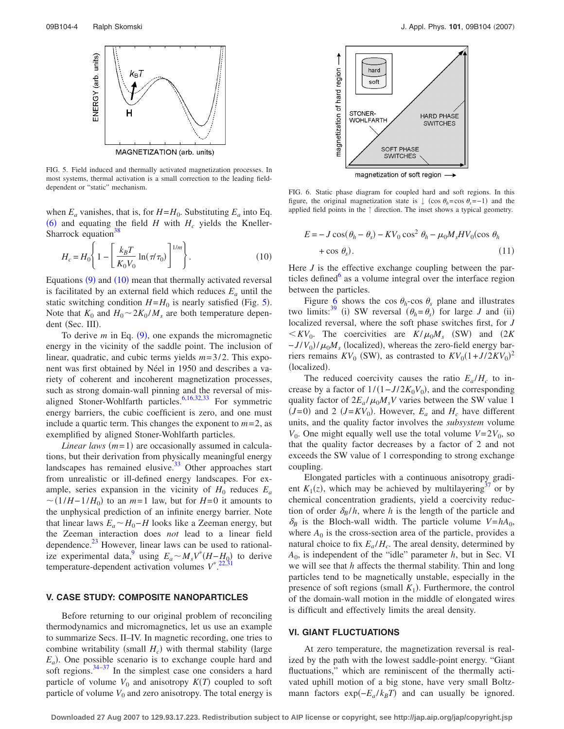<span id="page-4-0"></span>

FIG. 5. Field induced and thermally activated magnetization processes. In most systems, thermal activation is a small correction to the leading field-

when  $E_a$  vanishes, that is, for  $H = H_0$ . Substituting  $E_a$  into Eq. ([6](#page-3-0)) and equating the field *H* with  $H_c$  yields the Kneller-Sharrock equation $38$ 

<span id="page-4-1"></span>
$$
H_c = H_0 \left\{ 1 - \left[ \frac{k_B T}{K_0 V_0} \ln(\pi / \tau_0) \right]^{1/m} \right\}.
$$
 (10)

Equations  $(9)$  $(9)$  $(9)$  and  $(10)$  $(10)$  $(10)$  mean that thermally activated reversal is facilitated by an external field which reduces  $E_a$  until the static switching condition  $H = H_0$  is nearly satisfied (Fig. [5](#page-4-0)). Note that  $K_0$  and  $H_0 \sim 2K_0 / M_s$  are both temperature dependent (Sec. III).

To derive  $m$  in Eq.  $(9)$  $(9)$  $(9)$ , one expands the micromagnetic energy in the vicinity of the saddle point. The inclusion of linear, quadratic, and cubic terms yields *m*=3/2. This exponent was first obtained by Néel in 1950 and describes a variety of coherent and incoherent magnetization processes, such as strong domain-wall pinning and the reversal of mis-aligned Stoner-Wohlfarth particles.<sup>6,[16](#page-6-14)[,32](#page-6-31)[,33](#page-6-32)</sup> For symmetric energy barriers, the cubic coefficient is zero, and one must include a quartic term. This changes the exponent to  $m=2$ , as exemplified by aligned Stoner-Wohlfarth particles.

*Linear laws*  $(m=1)$  are occasionally assumed in calculations, but their derivation from physically meaningful energy landscapes has remained elusive. $33$  Other approaches start from unrealistic or ill-defined energy landscapes. For example, series expansion in the vicinity of  $H_0$  reduces  $E_a$  $\sim$  (1/*H*−1/*H*<sub>0</sub>) to an *m*=1 law, but for *H*=0 it amounts to the unphysical prediction of an infinite energy barrier. Note that linear laws  $E_a$   $\sim$  *H*<sub>0</sub>−*H* looks like a Zeeman energy, but the Zeeman interaction does *not* lead to a linear field dependence. $^{23}$  However, linear laws can be used to rationalize experimental data,<sup>9</sup> using  $E_a \sim M_s V^*(H - H_0)$  to derive temperature-dependent activation volumes  $V^*$ <sup>[22,](#page-6-20)[31](#page-6-29)</sup>

#### **V. CASE STUDY: COMPOSITE NANOPARTICLES**

Before returning to our original problem of reconciling thermodynamics and micromagnetics, let us use an example to summarize Secs. II–IV. In magnetic recording, one tries to combine writability (small  $H_c$ ) with thermal stability (large  $E_a$ ). One possible scenario is to exchange couple hard and soft regions. $34-37$  $34-37$  In the simplest case one considers a hard particle of volume  $V_0$  and anisotropy  $K(T)$  coupled to soft particle of volume  $V_0$  and zero anisotropy. The total energy is

<span id="page-4-2"></span>

dependent or "static" mechanism. FIG. 6. Static phase diagram for coupled hard and soft regions. In this figure, the original magnetization state is  $\downarrow$  (cos  $\theta_h = \cos \theta_s = -1$ ) and the applied field points in the ↑ direction. The inset shows a typical geometry.

$$
E = -J\cos(\theta_h - \theta_s) - KV_0\cos^2\theta_h - \mu_0 M_s HV_0(\cos\theta_h + \cos\theta_s). \tag{11}
$$

Here *J* is the effective exchange coupling between the particles defined $\delta$  as a volume integral over the interface region between the particles.

Figure [6](#page-4-2) shows the cos  $\theta_h$ -cos  $\theta_s$  plane and illustrates two limits:<sup>39</sup> (i) SW reversal  $(\theta_h = \theta_s)$  for large *J* and (ii) localized reversal, where the soft phase switches first, for *J*  $\langle KV_0$ . The coercivities are  $K/\mu_0 M_s$  (SW) and (2*K*)  $-J/V_0$ )/ $\mu_0 M_s$  (localized), whereas the zero-field energy barriers remains  $KV_0$  (SW), as contrasted to  $KV_0(1+J/2KV_0)^2$ (localized).

The reduced coercivity causes the ratio  $E_a/H_c$  to increase by a factor of  $1/(1-J/2K_0V_0)$ , and the corresponding quality factor of  $2E_a/\mu_0 M_sV$  varies between the SW value 1  $(J=0)$  and 2  $(J=KV_0)$ . However,  $E_a$  and  $H_c$  have different units, and the quality factor involves the *subsystem* volume  $V_0$ . One might equally well use the total volume  $V=2V_0$ , so that the quality factor decreases by a factor of 2 and not exceeds the SW value of 1 corresponding to strong exchange coupling.

Elongated particles with a continuous anisotropy gradient  $K_1(z)$ , which may be achieved by multilayering<sup>37</sup> or by chemical concentration gradients, yield a coercivity reduction of order  $\delta_B/h$ , where *h* is the length of the particle and  $\delta_B$  is the Bloch-wall width. The particle volume  $V = hA_0$ , where  $A_0$  is the cross-section area of the particle, provides a natural choice to fix  $E_a/H_c$ . The areal density, determined by  $A_0$ , is independent of the "idle" parameter  $h$ , but in Sec. VI we will see that *h* affects the thermal stability. Thin and long particles tend to be magnetically unstable, especially in the presence of soft regions (small  $K_1$ ). Furthermore, the control of the domain-wall motion in the middle of elongated wires is difficult and effectively limits the areal density.

#### **VI. GIANT FLUCTUATIONS**

At zero temperature, the magnetization reversal is realized by the path with the lowest saddle-point energy. "Giant fluctuations," which are reminiscent of the thermally activated uphill motion of a big stone, have very small Boltzmann factors  $exp(-E_a / k_B T)$  and can usually be ignored.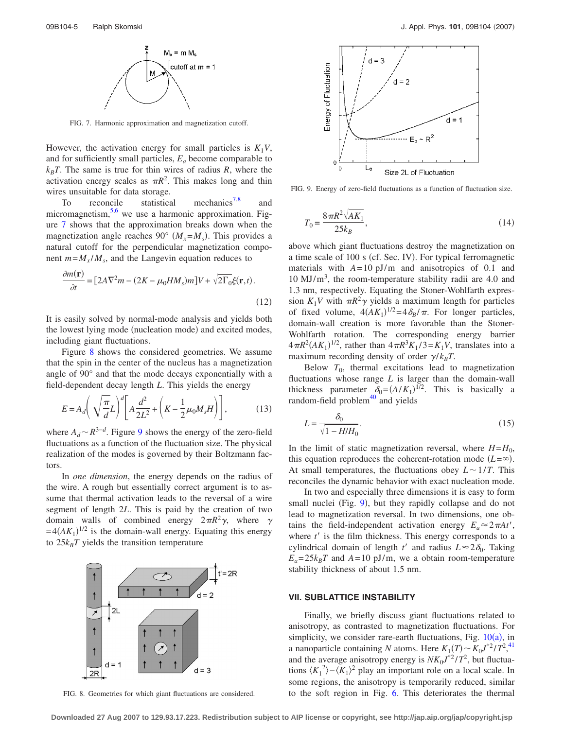<span id="page-5-0"></span>

FIG. 7. Harmonic approximation and magnetization cutoff.

However, the activation energy for small particles is  $K_1V$ , and for sufficiently small particles, *Ea* become comparable to  $k_B T$ . The same is true for thin wires of radius *R*, where the activation energy scales as  $\pi R^2$ . This makes long and thin wires unsuitable for data storage.

To reconcile statistical mechanics<sup>7[,8](#page-6-6)</sup> and micromagnetism, $5.6$  $5.6$  we use a harmonic approximation. Figure [7](#page-5-0) shows that the approximation breaks down when the magnetization angle reaches 90°  $(M_x = M_s)$ . This provides a natural cutoff for the perpendicular magnetization component  $m=M_x/M_s$ , and the Langevin equation reduces to

$$
\frac{\partial m(\mathbf{r})}{\partial t} = [2A\nabla^2 m - (2K - \mu_0 H M_s)m]V + \sqrt{2\Gamma_0}\xi(\mathbf{r}, t).
$$
\n(12)

It is easily solved by normal-mode analysis and yields both the lowest lying mode (nucleation mode) and excited modes, including giant fluctuations.

Figure [8](#page-5-1) shows the considered geometries. We assume that the spin in the center of the nucleus has a magnetization angle of 90° and that the mode decays exponentially with a field-dependent decay length *L*. This yields the energy

$$
E = A_d \left( \sqrt{\frac{\pi}{d}} L \right)^d \left[ A \frac{d^2}{2L^2} + \left( K - \frac{1}{2} \mu_0 M_s H \right) \right],
$$
 (13)

where  $A_d \sim R^{3-d}$ . Figure [9](#page-5-2) shows the energy of the zero-field fluctuations as a function of the fluctuation size. The physical realization of the modes is governed by their Boltzmann factors.

In *one dimension*, the energy depends on the radius of the wire. A rough but essentially correct argument is to assume that thermal activation leads to the reversal of a wire segment of length 2*L*. This is paid by the creation of two domain walls of combined energy  $2\pi R^2 \gamma$ , where  $\gamma$  $=4(AK_1)^{1/2}$  is the domain-wall energy. Equating this energy to  $25k_BT$  yields the transition temperature

<span id="page-5-1"></span>

<span id="page-5-2"></span>

FIG. 9. Energy of zero-field fluctuations as a function of fluctuation size.

$$
T_0 = \frac{8\pi R^2 \sqrt{AK_1}}{25k_B},
$$
\n(14)

above which giant fluctuations destroy the magnetization on a time scale of 100 s (cf. Sec. IV). For typical ferromagnetic materials with  $A=10 \text{ pJ/m}$  and anisotropies of 0.1 and  $10 \text{ MJ/m}^3$ , the room-temperature stability radii are 4.0 and 1.3 nm, respectively. Equating the Stoner-Wohlfarth expression  $K_1 V$  with  $\pi R^2 \gamma$  yields a maximum length for particles of fixed volume,  $4(AK_1)^{1/2} = 4\delta_B/\pi$ . For longer particles, domain-wall creation is more favorable than the Stoner-Wohlfarth rotation. The corresponding energy barrier  $4\pi R^2 (AK_1)^{1/2}$ , rather than  $4\pi R^3 K_1/3 = K_1 V$ , translates into a maximum recording density of order  $\gamma / k_B T$ .

Below  $T_0$ , thermal excitations lead to magnetization fluctuations whose range *L* is larger than the domain-wall thickness parameter  $\delta_0 = (A/K_1)^{1/2}$ . This is basically a random-field problem<sup>40</sup> and yields

$$
L = \frac{\delta_0}{\sqrt{1 - H/H_0}}.\tag{15}
$$

In the limit of static magnetization reversal, where  $H = H_0$ , this equation reproduces the coherent-rotation mode  $(L = \infty)$ . At small temperatures, the fluctuations obey  $L \sim 1/T$ . This reconciles the dynamic behavior with exact nucleation mode.

In two and especially three dimensions it is easy to form small nuclei (Fig. [9](#page-5-2)), but they rapidly collapse and do not lead to magnetization reversal. In two dimensions, one obtains the field-independent activation energy  $E_a \approx 2\pi A t'$ , where  $t'$  is the film thickness. This energy corresponds to a cylindrical domain of length *t'* and radius  $L \approx 2\delta_0$ . Taking  $E_a = 25k_B T$  and  $A = 10$  pJ/m, we a obtain room-temperature stability thickness of about 1.5 nm.

#### **VII. SUBLATTICE INSTABILITY**

Finally, we briefly discuss giant fluctuations related to anisotropy, as contrasted to magnetization fluctuations. For simplicity, we consider rare-earth fluctuations, Fig.  $10(a)$  $10(a)$ , in a nanoparticle containing *N* atoms. Here  $K_1(T) \sim K_0 J^{*2} / T^2$ ,<sup>[41](#page-6-38)</sup> and the average anisotropy energy is  $NK_0J^{*2}/T^2$ , but fluctuations  $\langle K_1^2 \rangle - \langle K_1 \rangle^2$  play an important role on a local scale. In some regions, the anisotropy is temporarily reduced, similar FIG. 8. Geometries for which giant fluctuations are considered. to the soft region in Fig. [6.](#page-4-2) This deteriorates the thermal